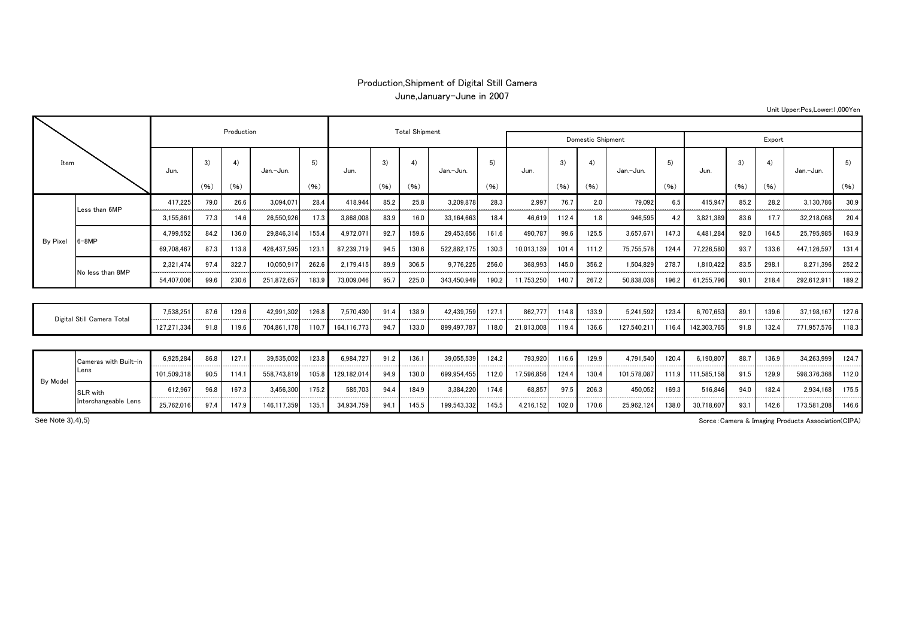## Production,Shipment of Digital Still Camera June,January-June in 2007

|                            |                       |             |      | Production |             |            |             | <b>Total Shipment</b> |       |                   |            |            |       |       |             |       |                   |      |       |             |       |
|----------------------------|-----------------------|-------------|------|------------|-------------|------------|-------------|-----------------------|-------|-------------------|------------|------------|-------|-------|-------------|-------|-------------------|------|-------|-------------|-------|
|                            |                       |             |      |            |             |            |             |                       |       | Domestic Shipment | Export     |            |       |       |             |       |                   |      |       |             |       |
| Item                       |                       | Jun.        | 3)   | 4)         | Jan.-Jun.   | 5)<br>(96) | Jun.        | 3)                    | 4)    | Jan.-Jun.         | 5)<br>(96) | Jun.       | 3)    | 4)    | Jan.-Jun.   | 5)    | Jun.              | 3)   | 4)    | Jan.-Jun.   | 5)    |
|                            |                       |             | (96) | (96)       |             |            |             | (96)                  | (96)  |                   |            |            | (96)  | (96)  |             | (96)  |                   | (96) | (96)  |             | (96)  |
| By Pixel                   | Less than 6MP         | 417.225     | 79.0 | 26.6       | 3,094,071   | 28.4       | 418.944     | 85.2                  | 25.8  | 3,209,878         | 28.3       | 2.997      | 76.7  | 2.0   | 79.092      | 6.5   | 415.947           | 85.2 | 28.2  | 3,130,786   | 30.9  |
|                            |                       | 3,155,861   | 77.3 | 14.6       | 26,550,926  | 17.3       | 3,868,008   | 83.9                  | 16.0  | 33,164,663        | 18.4       | 46.61      | 112.4 | 1.8   | 946,595     | 4.2   | 3,821,389         | 83.6 | 17.7  | 32,218,068  | 20.4  |
|                            | $6 - 8MP$             | 4,799,552   | 84.2 | 136.0      | 29,846,314  | 155.4      | 4,972,071   | 92.7                  | 159.6 | 29,453,656        | 161.6      | 490,787    | 99.6  | 125.5 | 3,657,671   | 147.3 | 4,481,284         | 92.0 | 164.5 | 25,795,985  | 163.9 |
|                            |                       | 69,708,467  | 87.3 | 113.8      | 426.437.595 | 123.1      | 87.239.71   | 94.5                  | 130.6 | 522,882,175       | 130.3      | 10,013,139 | 101.4 | 111.2 | 75,755,578  | 124.4 | 77,226,580        | 93.7 | 133.6 | 447,126,597 | 131.4 |
|                            | No less than 8MP      | 2.321.474   | 97.4 | 322.7      | 10,050,917  | 262.6      | 2.179.415   | 89.9                  | 306.5 | 9,776,225         | 256.0      | 368.993    | 145.0 | 356.2 | 1.504.829   | 278.7 | 1.810.422         | 83.5 | 298.1 | 8.271.396   | 252.2 |
|                            |                       | 54,407,006  | 99.6 | 230.6      | 251,872,657 | 183.9      | 73,009,046  | 95.7                  | 225.0 | 343,450,949       | 190.2      | 11,753,250 | 140.7 | 267.2 | 50,838,038  | 196.2 | 61,255,796        | 90.1 | 218.4 | 292,612,911 | 189.2 |
|                            |                       |             |      |            |             |            |             |                       |       |                   |            |            |       |       |             |       |                   |      |       |             |       |
| Digital Still Camera Total |                       | 7,538,251   | 87.6 | 129.6      | 42,991,302  | 126.8      | 7.570.430   | 91.4                  | 138.9 | 42,439,759        | 127.1      | 862.777    | 114.8 | 133.9 | 5.241.592   | 123.4 | 6.707.653         | 89.1 | 139.6 | 37.198.167  | 127.6 |
|                            |                       | 127,271,334 | 91.8 | 119.6      | 704,861,178 | 110.7      | 164,116,773 | 94.7                  | 133.0 | 899,497,787       | 118.0      | 21,813,008 | 119.4 | 136.6 | 127,540,211 | 116.4 | 142,303,765       | 91.8 | 132.4 | 771,957,576 | 118.3 |
|                            |                       |             |      |            |             |            |             |                       |       |                   |            |            |       |       |             |       |                   |      |       |             |       |
| By Model                   | Cameras with Built-in | 6,925,284   | 86.8 | 127.1      | 39,535,002  | 123.8      | 6.984.727   | 91.2                  | 136.1 | 39,055,539        | 124.2      | 793.920    | 116.6 | 129.9 | 4.791.540   | 120.4 | 6,190,807         | 88.7 | 136.9 | 34,263,999  | 124.7 |
|                            | Lens                  | 101,509,318 | 90.5 | 114.1      | 558,743,819 | 105.8      | 129,182,014 | 94.9                  | 130.0 | 699,954,455       | 112.0      | 17,596,856 | 124.4 | 130.4 | 101,578,087 |       | 111.9 111,585,158 | 91.5 | 129.9 | 598,376,368 | 112.0 |
|                            | SLR with              | 612,967     | 96.8 | 167.3      | 3,456,300   | 175.2      | 585,703     | 94.4                  | 184.9 | 3,384,220         | 174.6      | 68.857     | 97.5  | 206.3 | 450,052     | 169.3 | 516.846           | 94.0 | 182.4 | 2.934.168   | 175.5 |
|                            | Interchangeable Lens  | 25,762,016  | 97.4 | 147.9      | 146.117.359 | 135.1      | 34.934.759  | 94.1                  | 145.5 | 199.543.332       | 145.5      | 4.216.152  | 102.0 | 170.6 | 25.962.124  | 138.0 | 30.718.607        | 93.1 | 142.6 | 173.581.208 | 146.6 |

Sorce:Camera & Imaging Products Association(CIPA)

Unit Upper:Pcs,Lower:1,000Yen

See Note 3),4),5)